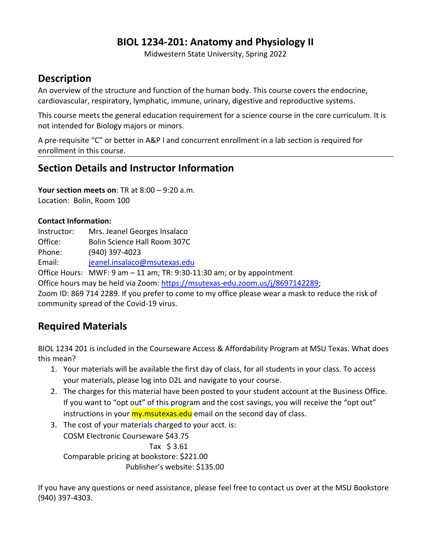## **BIOL 1234-201: Anatomy and Physiology II**

Midwestern State University, Spring 2022

# **Description**

An overview of the structure and function of the human body. This course covers the endocrine, cardiovascular, respiratory, lymphatic, immune, urinary, digestive and reproductive systems.

This course meets the general education requirement for a science course in the core curriculum. It is not intended for Biology majors or minors.

A pre-requisite "C" or better in A&P I and concurrent enrollment in a lab section is required for enrollment in this course.

# **Section Details and Instructor Information**

**Your section meets on**: TR at 8:00 – 9:20 a.m. Location: Bolin, Room 100

### **Contact Information:**

Instructor: Mrs. Jeanel Georges Insalaco Office: Bolin Science Hall Room 307C Phone: (940) 397-4023 Email: [jeanel.insalaco@msutexas.edu](mailto:jeanel.insalaco@msutexas.edu) Office Hours: MWF: 9 am – 11 am; TR: 9:30-11:30 am; or by appointment Office hours may be held via Zoom: [https://msutexas-edu.zoom.us/j/8697142289;](https://msutexas-edu.zoom.us/j/8697142289) Zoom ID: 869 714 2289. If you prefer to come to my office please wear a mask to reduce the risk of community spread of the Covid-19 virus.

# **Required Materials**

BIOL 1234 201 is included in the Courseware Access & Affordability Program at MSU Texas. What does this mean?

- 1. Your materials will be available the first day of class, for all students in your class. To access your materials, please log into D2L and navigate to your course.
- 2. The charges for this material have been posted to your student account at the Business Office. If you want to "opt out" of this program and the cost savings, you will receive the "opt out" instructions in your **my.msutexas.edu** email on the second day of class.
- 3. The cost of your materials charged to your acct. is: COSM Electronic Courseware \$43.75 Tax \$ 3.61 Comparable pricing at bookstore: \$221.00 Publisher's website: \$135.00

If you have any questions or need assistance, please feel free to contact us over at the MSU Bookstore (940) 397-4303.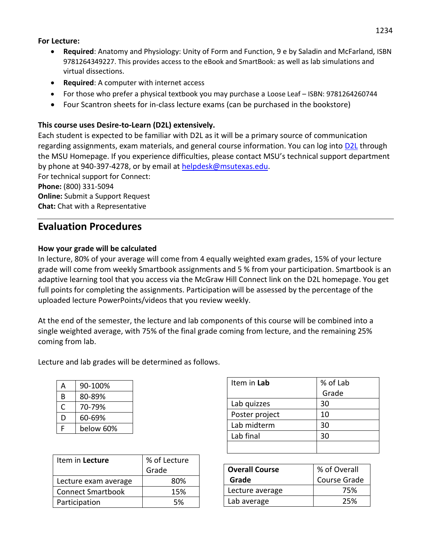#### **For Lecture:**

- **Required**: Anatomy and Physiology: Unity of Form and Function, 9 e by Saladin and McFarland, ISBN 9781264349227. This provides access to the eBook and SmartBook: as well as lab simulations and virtual dissections.
- **Required:** A computer with internet access
- For those who prefer a physical textbook you may purchase a Loose Leaf ISBN: 9781264260744
- Four Scantron sheets for in-class lecture exams (can be purchased in the bookstore)

### **This course uses Desire-to-Learn (D2L) extensively.**

Each student is expected to be familiar with D2L as it will be a primary source of communication regarding assignments, exam materials, and general course information. You can log into **[D2L](https://d2l.mwsu.edu/)** through the MSU Homepage. If you experience difficulties, please contact MSU's technical support department by phone at 940-397-4278, or by email at [helpdesk@msutexas.edu.](mailto:helpdesk@msutexas.edu)

For technical support for Connect: **Phone:** (800) 331-5094 **Online:** Submit a Support Request **Chat:** Chat with a Representative

## **Evaluation Procedures**

### **How your grade will be calculated**

In lecture, 80% of your average will come from 4 equally weighted exam grades, 15% of your lecture grade will come from weekly Smartbook assignments and 5 % from your participation. Smartbook is an adaptive learning tool that you access via the McGraw Hill Connect link on the D2L homepage. You get full points for completing the assignments. Participation will be assessed by the percentage of the uploaded lecture PowerPoints/videos that you review weekly.

At the end of the semester, the lecture and lab components of this course will be combined into a single weighted average, with 75% of the final grade coming from lecture, and the remaining 25% coming from lab.

Lecture and lab grades will be determined as follows.

| А | 90-100%   |
|---|-----------|
| B | 80-89%    |
| C | 70-79%    |
| D | 60-69%    |
| F | below 60% |

| Item in Lecture          | % of Lecture<br>Grade |
|--------------------------|-----------------------|
| Lecture exam average     | 80%                   |
| <b>Connect Smartbook</b> | 15%                   |
| Participation            | 5%                    |

| Item in Lab    | % of Lab |
|----------------|----------|
|                | Grade    |
| Lab quizzes    | 30       |
| Poster project | 10       |
| Lab midterm    | 30       |
| Lab final      | 30       |
|                |          |

| <b>Overall Course</b> | % of Overall |
|-----------------------|--------------|
| Grade                 | Course Grade |
| Lecture average       | 75%          |
| Lab average           | 25%          |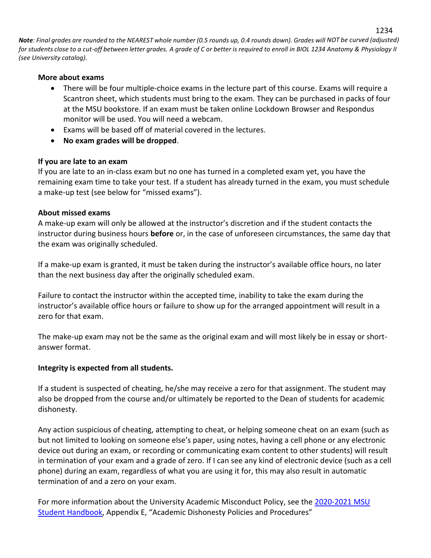Note: Final grades are rounded to the NEAREST whole number (0.5 rounds up, 0.4 rounds down). Grades will NOT be curved (adjusted) *for students close to a cut-off between letter grades. A grade of C or better is required to enroll in BIOL 1234 Anatomy & Physiology II (see University catalog).*

#### **More about exams**

- There will be four multiple-choice exams in the lecture part of this course. Exams will require a Scantron sheet, which students must bring to the exam. They can be purchased in packs of four at the MSU bookstore. If an exam must be taken online Lockdown Browser and Respondus monitor will be used. You will need a webcam.
- Exams will be based off of material covered in the lectures.
- **No exam grades will be dropped**.

### **If you are late to an exam**

If you are late to an in-class exam but no one has turned in a completed exam yet, you have the remaining exam time to take your test. If a student has already turned in the exam, you must schedule a make-up test (see below for "missed exams").

### **About missed exams**

A make-up exam will only be allowed at the instructor's discretion and if the student contacts the instructor during business hours **before** or, in the case of unforeseen circumstances, the same day that the exam was originally scheduled.

If a make-up exam is granted, it must be taken during the instructor's available office hours, no later than the next business day after the originally scheduled exam.

Failure to contact the instructor within the accepted time, inability to take the exam during the instructor's available office hours or failure to show up for the arranged appointment will result in a zero for that exam.

The make-up exam may not be the same as the original exam and will most likely be in essay or shortanswer format.

### **Integrity is expected from all students.**

If a student is suspected of cheating, he/she may receive a zero for that assignment. The student may also be dropped from the course and/or ultimately be reported to the Dean of students for academic dishonesty.

Any action suspicious of cheating, attempting to cheat, or helping someone cheat on an exam (such as but not limited to looking on someone else's paper, using notes, having a cell phone or any electronic device out during an exam, or recording or communicating exam content to other students) will result in termination of your exam and a grade of zero. If I can see any kind of electronic device (such as a cell phone) during an exam, regardless of what you are using it for, this may also result in automatic termination of and a zero on your exam.

For more information about the University Academic Misconduct Policy, see the 2020-2021 MSU [Student Handbook](https://msutexas.edu/student-life/_assets/files/handbook.pdf), Appendix E, "Academic Dishonesty Policies and Procedures"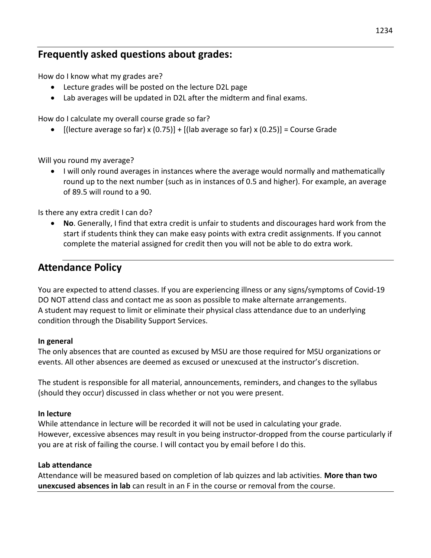## **Frequently asked questions about grades:**

How do I know what my grades are?

- Lecture grades will be posted on the lecture D2L page
- Lab averages will be updated in D2L after the midterm and final exams.

How do I calculate my overall course grade so far?

•  $[$ (lecture average so far) x  $(0.75)$ ] +  $[$ (lab average so far) x  $(0.25)$ ] = Course Grade

Will you round my average?

• I will only round averages in instances where the average would normally and mathematically round up to the next number (such as in instances of 0.5 and higher). For example, an average of 89.5 will round to a 90.

Is there any extra credit I can do?

 **No**. Generally, I find that extra credit is unfair to students and discourages hard work from the start if students think they can make easy points with extra credit assignments. If you cannot complete the material assigned for credit then you will not be able to do extra work.

## **Attendance Policy**

You are expected to attend classes. If you are experiencing illness or any signs/symptoms of Covid-19 DO NOT attend class and contact me as soon as possible to make alternate arrangements. A student may request to limit or eliminate their physical class attendance due to an underlying condition through the Disability Support Services.

#### **In general**

The only absences that are counted as excused by MSU are those required for MSU organizations or events. All other absences are deemed as excused or unexcused at the instructor's discretion.

The student is responsible for all material, announcements, reminders, and changes to the syllabus (should they occur) discussed in class whether or not you were present.

#### **In lecture**

While attendance in lecture will be recorded it will not be used in calculating your grade. However, excessive absences may result in you being instructor-dropped from the course particularly if you are at risk of failing the course. I will contact you by email before I do this.

#### **Lab attendance**

Attendance will be measured based on completion of lab quizzes and lab activities. **More than two unexcused absences in lab** can result in an F in the course or removal from the course.